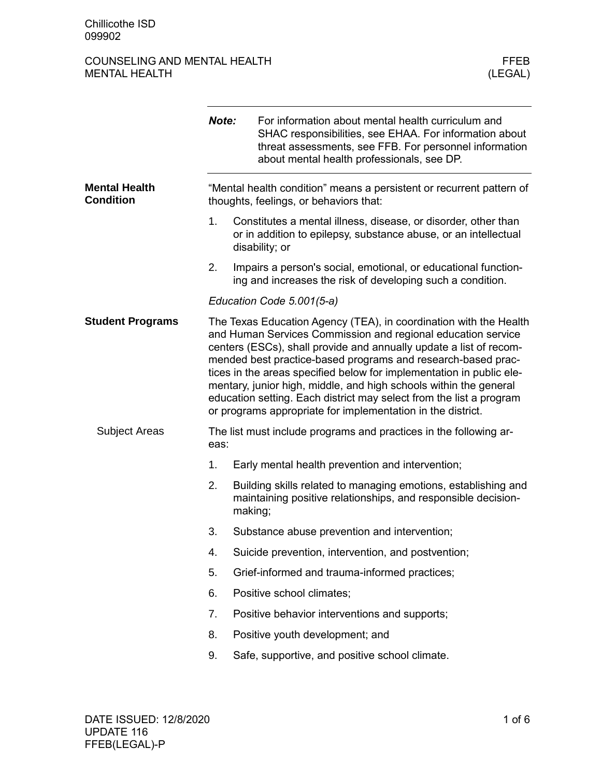### COUNSELING AND MENTAL HEALTH FEER THE MENTAL HEALTH SERVICE OF THE MENTAL HEALTH SERVICE OF THE MENTAL HEALTH MENTAL HEALTH

|                                          | Note:                                                                                                          | For information about mental health curriculum and<br>SHAC responsibilities, see EHAA. For information about<br>threat assessments, see FFB. For personnel information<br>about mental health professionals, see DP.                                                                                                                                                                                                                                                                                                                                       |  |  |
|------------------------------------------|----------------------------------------------------------------------------------------------------------------|------------------------------------------------------------------------------------------------------------------------------------------------------------------------------------------------------------------------------------------------------------------------------------------------------------------------------------------------------------------------------------------------------------------------------------------------------------------------------------------------------------------------------------------------------------|--|--|
| <b>Mental Health</b><br><b>Condition</b> | "Mental health condition" means a persistent or recurrent pattern of<br>thoughts, feelings, or behaviors that: |                                                                                                                                                                                                                                                                                                                                                                                                                                                                                                                                                            |  |  |
|                                          | 1.                                                                                                             | Constitutes a mental illness, disease, or disorder, other than<br>or in addition to epilepsy, substance abuse, or an intellectual<br>disability; or                                                                                                                                                                                                                                                                                                                                                                                                        |  |  |
|                                          | 2.                                                                                                             | Impairs a person's social, emotional, or educational function-<br>ing and increases the risk of developing such a condition.                                                                                                                                                                                                                                                                                                                                                                                                                               |  |  |
|                                          |                                                                                                                | Education Code 5.001(5-a)                                                                                                                                                                                                                                                                                                                                                                                                                                                                                                                                  |  |  |
| <b>Student Programs</b>                  |                                                                                                                | The Texas Education Agency (TEA), in coordination with the Health<br>and Human Services Commission and regional education service<br>centers (ESCs), shall provide and annually update a list of recom-<br>mended best practice-based programs and research-based prac-<br>tices in the areas specified below for implementation in public ele-<br>mentary, junior high, middle, and high schools within the general<br>education setting. Each district may select from the list a program<br>or programs appropriate for implementation in the district. |  |  |
| <b>Subject Areas</b>                     | eas:                                                                                                           | The list must include programs and practices in the following ar-                                                                                                                                                                                                                                                                                                                                                                                                                                                                                          |  |  |
|                                          | 1.                                                                                                             | Early mental health prevention and intervention;                                                                                                                                                                                                                                                                                                                                                                                                                                                                                                           |  |  |
|                                          | 2.                                                                                                             | Building skills related to managing emotions, establishing and<br>maintaining positive relationships, and responsible decision-<br>making;                                                                                                                                                                                                                                                                                                                                                                                                                 |  |  |
|                                          | 3.                                                                                                             | Substance abuse prevention and intervention;                                                                                                                                                                                                                                                                                                                                                                                                                                                                                                               |  |  |
|                                          | 4.                                                                                                             | Suicide prevention, intervention, and postvention;                                                                                                                                                                                                                                                                                                                                                                                                                                                                                                         |  |  |
|                                          | 5.                                                                                                             | Grief-informed and trauma-informed practices;                                                                                                                                                                                                                                                                                                                                                                                                                                                                                                              |  |  |
|                                          | 6.                                                                                                             | Positive school climates;                                                                                                                                                                                                                                                                                                                                                                                                                                                                                                                                  |  |  |
|                                          | 7.                                                                                                             | Positive behavior interventions and supports;                                                                                                                                                                                                                                                                                                                                                                                                                                                                                                              |  |  |
|                                          | 8.                                                                                                             | Positive youth development; and                                                                                                                                                                                                                                                                                                                                                                                                                                                                                                                            |  |  |
|                                          | 9.                                                                                                             | Safe, supportive, and positive school climate.                                                                                                                                                                                                                                                                                                                                                                                                                                                                                                             |  |  |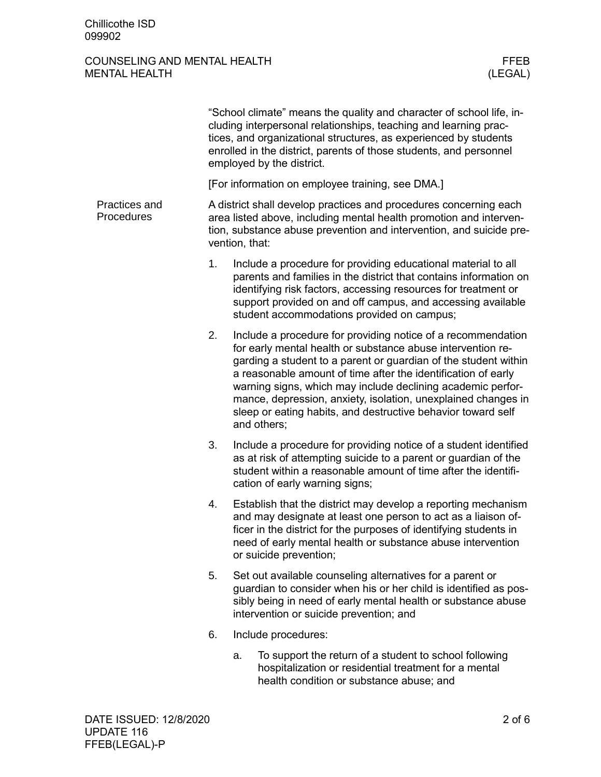### COUNSELING AND MENTAL HEALTH FEER MENTAL HEALTH (LEGAL) MENTAL HEALTH

|                             | "School climate" means the quality and character of school life, in-<br>cluding interpersonal relationships, teaching and learning prac-<br>tices, and organizational structures, as experienced by students<br>enrolled in the district, parents of those students, and personnel<br>employed by the district. |                                                                                                                                                                                                                                                                                                                                                                                                                                                                                |  |  |  |
|-----------------------------|-----------------------------------------------------------------------------------------------------------------------------------------------------------------------------------------------------------------------------------------------------------------------------------------------------------------|--------------------------------------------------------------------------------------------------------------------------------------------------------------------------------------------------------------------------------------------------------------------------------------------------------------------------------------------------------------------------------------------------------------------------------------------------------------------------------|--|--|--|
|                             | [For information on employee training, see DMA.]                                                                                                                                                                                                                                                                |                                                                                                                                                                                                                                                                                                                                                                                                                                                                                |  |  |  |
| Practices and<br>Procedures |                                                                                                                                                                                                                                                                                                                 | A district shall develop practices and procedures concerning each<br>area listed above, including mental health promotion and interven-<br>tion, substance abuse prevention and intervention, and suicide pre-<br>vention, that:                                                                                                                                                                                                                                               |  |  |  |
|                             | 1.                                                                                                                                                                                                                                                                                                              | Include a procedure for providing educational material to all<br>parents and families in the district that contains information on<br>identifying risk factors, accessing resources for treatment or<br>support provided on and off campus, and accessing available<br>student accommodations provided on campus;                                                                                                                                                              |  |  |  |
|                             | 2.                                                                                                                                                                                                                                                                                                              | Include a procedure for providing notice of a recommendation<br>for early mental health or substance abuse intervention re-<br>garding a student to a parent or guardian of the student within<br>a reasonable amount of time after the identification of early<br>warning signs, which may include declining academic perfor-<br>mance, depression, anxiety, isolation, unexplained changes in<br>sleep or eating habits, and destructive behavior toward self<br>and others; |  |  |  |
|                             | 3.                                                                                                                                                                                                                                                                                                              | Include a procedure for providing notice of a student identified<br>as at risk of attempting suicide to a parent or guardian of the<br>student within a reasonable amount of time after the identifi-<br>cation of early warning signs;                                                                                                                                                                                                                                        |  |  |  |
|                             | 4.                                                                                                                                                                                                                                                                                                              | Establish that the district may develop a reporting mechanism<br>and may designate at least one person to act as a liaison of-<br>ficer in the district for the purposes of identifying students in<br>need of early mental health or substance abuse intervention<br>or suicide prevention;                                                                                                                                                                                   |  |  |  |
|                             | 5.                                                                                                                                                                                                                                                                                                              | Set out available counseling alternatives for a parent or<br>guardian to consider when his or her child is identified as pos-<br>sibly being in need of early mental health or substance abuse<br>intervention or suicide prevention; and                                                                                                                                                                                                                                      |  |  |  |
|                             | 6.                                                                                                                                                                                                                                                                                                              | Include procedures:                                                                                                                                                                                                                                                                                                                                                                                                                                                            |  |  |  |
|                             |                                                                                                                                                                                                                                                                                                                 | To support the return of a student to school following<br>a.<br>hospitalization or residential treatment for a mental<br>health condition or substance abuse; and                                                                                                                                                                                                                                                                                                              |  |  |  |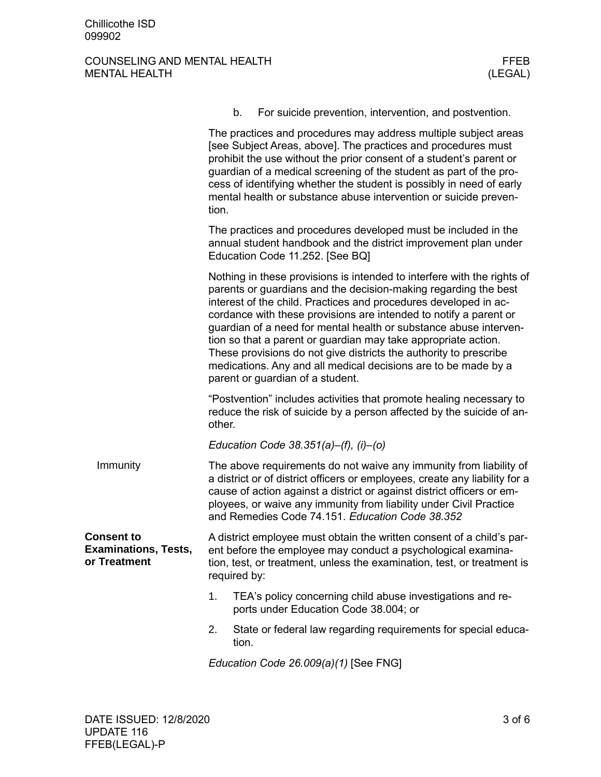# COUNSELING AND MENTAL HEALTH FFEB FFEB MENTAL HEALTH (LEGAL) MENTAL HEALTH

|                                                                  |                                                                                                                                                                                                                                                                                                                                                                                                                                                                                                                                                                                                       | b.<br>For suicide prevention, intervention, and postvention.                                                                                 |  |  |
|------------------------------------------------------------------|-------------------------------------------------------------------------------------------------------------------------------------------------------------------------------------------------------------------------------------------------------------------------------------------------------------------------------------------------------------------------------------------------------------------------------------------------------------------------------------------------------------------------------------------------------------------------------------------------------|----------------------------------------------------------------------------------------------------------------------------------------------|--|--|
|                                                                  | The practices and procedures may address multiple subject areas<br>[see Subject Areas, above]. The practices and procedures must<br>prohibit the use without the prior consent of a student's parent or<br>guardian of a medical screening of the student as part of the pro-<br>cess of identifying whether the student is possibly in need of early<br>mental health or substance abuse intervention or suicide preven-<br>tion.                                                                                                                                                                    |                                                                                                                                              |  |  |
|                                                                  | The practices and procedures developed must be included in the<br>annual student handbook and the district improvement plan under<br>Education Code 11.252. [See BQ]                                                                                                                                                                                                                                                                                                                                                                                                                                  |                                                                                                                                              |  |  |
|                                                                  | Nothing in these provisions is intended to interfere with the rights of<br>parents or guardians and the decision-making regarding the best<br>interest of the child. Practices and procedures developed in ac-<br>cordance with these provisions are intended to notify a parent or<br>guardian of a need for mental health or substance abuse interven-<br>tion so that a parent or guardian may take appropriate action.<br>These provisions do not give districts the authority to prescribe<br>medications. Any and all medical decisions are to be made by a<br>parent or guardian of a student. |                                                                                                                                              |  |  |
|                                                                  | other.                                                                                                                                                                                                                                                                                                                                                                                                                                                                                                                                                                                                | "Postvention" includes activities that promote healing necessary to<br>reduce the risk of suicide by a person affected by the suicide of an- |  |  |
|                                                                  |                                                                                                                                                                                                                                                                                                                                                                                                                                                                                                                                                                                                       | Education Code 38.351(a)-(f), (i)-(o)                                                                                                        |  |  |
| Immunity                                                         | The above requirements do not waive any immunity from liability of<br>a district or of district officers or employees, create any liability for a<br>cause of action against a district or against district officers or em-<br>ployees, or waive any immunity from liability under Civil Practice<br>and Remedies Code 74.151. Education Code 38.352                                                                                                                                                                                                                                                  |                                                                                                                                              |  |  |
| <b>Consent to</b><br><b>Examinations, Tests,</b><br>or Treatment | A district employee must obtain the written consent of a child's par-<br>ent before the employee may conduct a psychological examina-<br>tion, test, or treatment, unless the examination, test, or treatment is<br>required by:                                                                                                                                                                                                                                                                                                                                                                      |                                                                                                                                              |  |  |
|                                                                  | 1.                                                                                                                                                                                                                                                                                                                                                                                                                                                                                                                                                                                                    | TEA's policy concerning child abuse investigations and re-<br>ports under Education Code 38.004; or                                          |  |  |
|                                                                  | 2.                                                                                                                                                                                                                                                                                                                                                                                                                                                                                                                                                                                                    | State or federal law regarding requirements for special educa-<br>tion.                                                                      |  |  |
|                                                                  |                                                                                                                                                                                                                                                                                                                                                                                                                                                                                                                                                                                                       | Education Code 26.009(a)(1) [See FNG]                                                                                                        |  |  |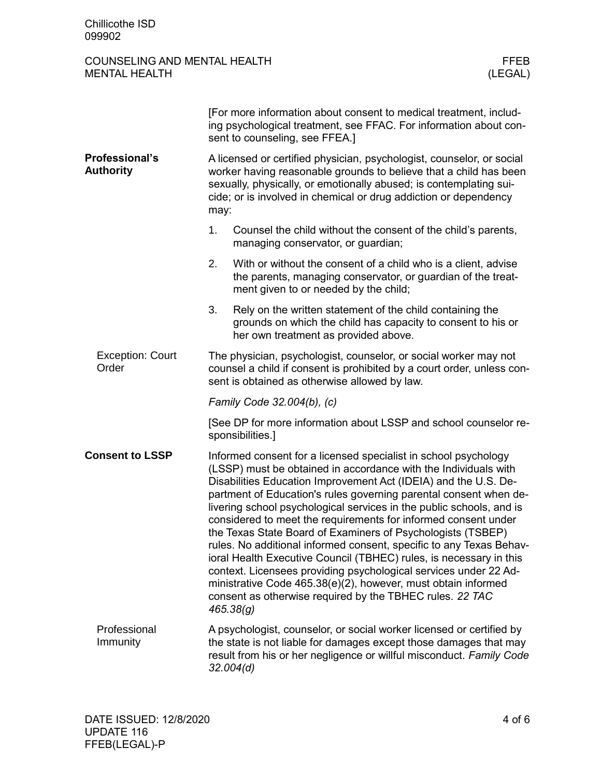# COUNSELING AND MENTAL HEALTH FFEB FFEB MENTAL HEALTH (LEGAL) MENTAL HEALTH

|                                           | [For more information about consent to medical treatment, includ-<br>ing psychological treatment, see FFAC. For information about con-<br>sent to counseling, see FFEA.]                                                                                                                                                                                                                                                                                                                                                                                                                                                                                                                                                                                                                                                                       |  |  |  |
|-------------------------------------------|------------------------------------------------------------------------------------------------------------------------------------------------------------------------------------------------------------------------------------------------------------------------------------------------------------------------------------------------------------------------------------------------------------------------------------------------------------------------------------------------------------------------------------------------------------------------------------------------------------------------------------------------------------------------------------------------------------------------------------------------------------------------------------------------------------------------------------------------|--|--|--|
| <b>Professional's</b><br><b>Authority</b> | A licensed or certified physician, psychologist, counselor, or social<br>worker having reasonable grounds to believe that a child has been<br>sexually, physically, or emotionally abused; is contemplating sui-<br>cide; or is involved in chemical or drug addiction or dependency<br>may:                                                                                                                                                                                                                                                                                                                                                                                                                                                                                                                                                   |  |  |  |
|                                           | 1.<br>Counsel the child without the consent of the child's parents,<br>managing conservator, or guardian;                                                                                                                                                                                                                                                                                                                                                                                                                                                                                                                                                                                                                                                                                                                                      |  |  |  |
|                                           | 2.<br>With or without the consent of a child who is a client, advise<br>the parents, managing conservator, or guardian of the treat-<br>ment given to or needed by the child;                                                                                                                                                                                                                                                                                                                                                                                                                                                                                                                                                                                                                                                                  |  |  |  |
|                                           | 3.<br>Rely on the written statement of the child containing the<br>grounds on which the child has capacity to consent to his or<br>her own treatment as provided above.                                                                                                                                                                                                                                                                                                                                                                                                                                                                                                                                                                                                                                                                        |  |  |  |
| <b>Exception: Court</b><br>Order          | The physician, psychologist, counselor, or social worker may not<br>counsel a child if consent is prohibited by a court order, unless con-<br>sent is obtained as otherwise allowed by law.                                                                                                                                                                                                                                                                                                                                                                                                                                                                                                                                                                                                                                                    |  |  |  |
|                                           | Family Code 32.004(b), (c)                                                                                                                                                                                                                                                                                                                                                                                                                                                                                                                                                                                                                                                                                                                                                                                                                     |  |  |  |
|                                           | [See DP for more information about LSSP and school counselor re-<br>sponsibilities.]                                                                                                                                                                                                                                                                                                                                                                                                                                                                                                                                                                                                                                                                                                                                                           |  |  |  |
| <b>Consent to LSSP</b>                    | Informed consent for a licensed specialist in school psychology<br>(LSSP) must be obtained in accordance with the Individuals with<br>Disabilities Education Improvement Act (IDEIA) and the U.S. De-<br>partment of Education's rules governing parental consent when de-<br>livering school psychological services in the public schools, and is<br>considered to meet the requirements for informed consent under<br>the Texas State Board of Examiners of Psychologists (TSBEP)<br>rules. No additional informed consent, specific to any Texas Behav-<br>ioral Health Executive Council (TBHEC) rules, is necessary in this<br>context. Licensees providing psychological services under 22 Ad-<br>ministrative Code 465.38(e)(2), however, must obtain informed<br>consent as otherwise required by the TBHEC rules. 22 TAC<br>465.38(g) |  |  |  |
| Professional<br>Immunity                  | A psychologist, counselor, or social worker licensed or certified by<br>the state is not liable for damages except those damages that may<br>result from his or her negligence or willful misconduct. Family Code<br>32.004(d)                                                                                                                                                                                                                                                                                                                                                                                                                                                                                                                                                                                                                 |  |  |  |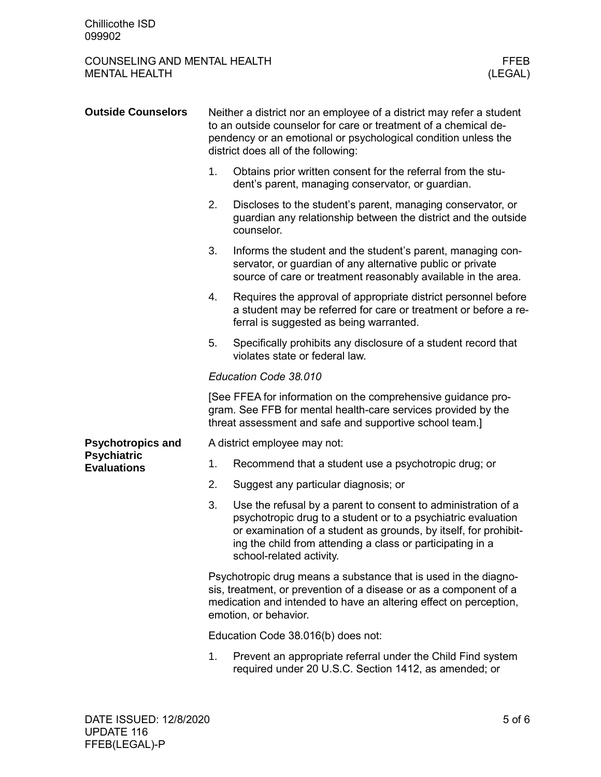# COUNSELING AND MENTAL HEALTH FFEB FFEB MENTAL HEALTH (LEGAL) MENTAL HEALTH

| <b>Outside Counselors</b>                | Neither a district nor an employee of a district may refer a student<br>to an outside counselor for care or treatment of a chemical de-<br>pendency or an emotional or psychological condition unless the<br>district does all of the following: |                                                                                                                                                                                                                                                                                              |  |
|------------------------------------------|--------------------------------------------------------------------------------------------------------------------------------------------------------------------------------------------------------------------------------------------------|----------------------------------------------------------------------------------------------------------------------------------------------------------------------------------------------------------------------------------------------------------------------------------------------|--|
|                                          | 1.                                                                                                                                                                                                                                               | Obtains prior written consent for the referral from the stu-<br>dent's parent, managing conservator, or guardian.                                                                                                                                                                            |  |
|                                          | 2.                                                                                                                                                                                                                                               | Discloses to the student's parent, managing conservator, or<br>guardian any relationship between the district and the outside<br>counselor.                                                                                                                                                  |  |
|                                          | 3.                                                                                                                                                                                                                                               | Informs the student and the student's parent, managing con-<br>servator, or guardian of any alternative public or private<br>source of care or treatment reasonably available in the area.                                                                                                   |  |
|                                          | 4.                                                                                                                                                                                                                                               | Requires the approval of appropriate district personnel before<br>a student may be referred for care or treatment or before a re-<br>ferral is suggested as being warranted.                                                                                                                 |  |
|                                          | 5.                                                                                                                                                                                                                                               | Specifically prohibits any disclosure of a student record that<br>violates state or federal law.                                                                                                                                                                                             |  |
|                                          |                                                                                                                                                                                                                                                  | Education Code 38.010                                                                                                                                                                                                                                                                        |  |
|                                          | [See FFEA for information on the comprehensive guidance pro-<br>gram. See FFB for mental health-care services provided by the<br>threat assessment and safe and supportive school team.]                                                         |                                                                                                                                                                                                                                                                                              |  |
| <b>Psychotropics and</b>                 |                                                                                                                                                                                                                                                  | A district employee may not:                                                                                                                                                                                                                                                                 |  |
| <b>Psychiatric</b><br><b>Evaluations</b> | 1.                                                                                                                                                                                                                                               | Recommend that a student use a psychotropic drug; or                                                                                                                                                                                                                                         |  |
|                                          | 2.                                                                                                                                                                                                                                               | Suggest any particular diagnosis; or                                                                                                                                                                                                                                                         |  |
|                                          | 3.                                                                                                                                                                                                                                               | Use the refusal by a parent to consent to administration of a<br>psychotropic drug to a student or to a psychiatric evaluation<br>or examination of a student as grounds, by itself, for prohibit-<br>ing the child from attending a class or participating in a<br>school-related activity. |  |
|                                          | Psychotropic drug means a substance that is used in the diagno-<br>sis, treatment, or prevention of a disease or as a component of a<br>medication and intended to have an altering effect on perception,<br>emotion, or behavior.               |                                                                                                                                                                                                                                                                                              |  |
|                                          | Education Code 38.016(b) does not:                                                                                                                                                                                                               |                                                                                                                                                                                                                                                                                              |  |
|                                          | 1.                                                                                                                                                                                                                                               | Prevent an appropriate referral under the Child Find system<br>required under 20 U.S.C. Section 1412, as amended; or                                                                                                                                                                         |  |